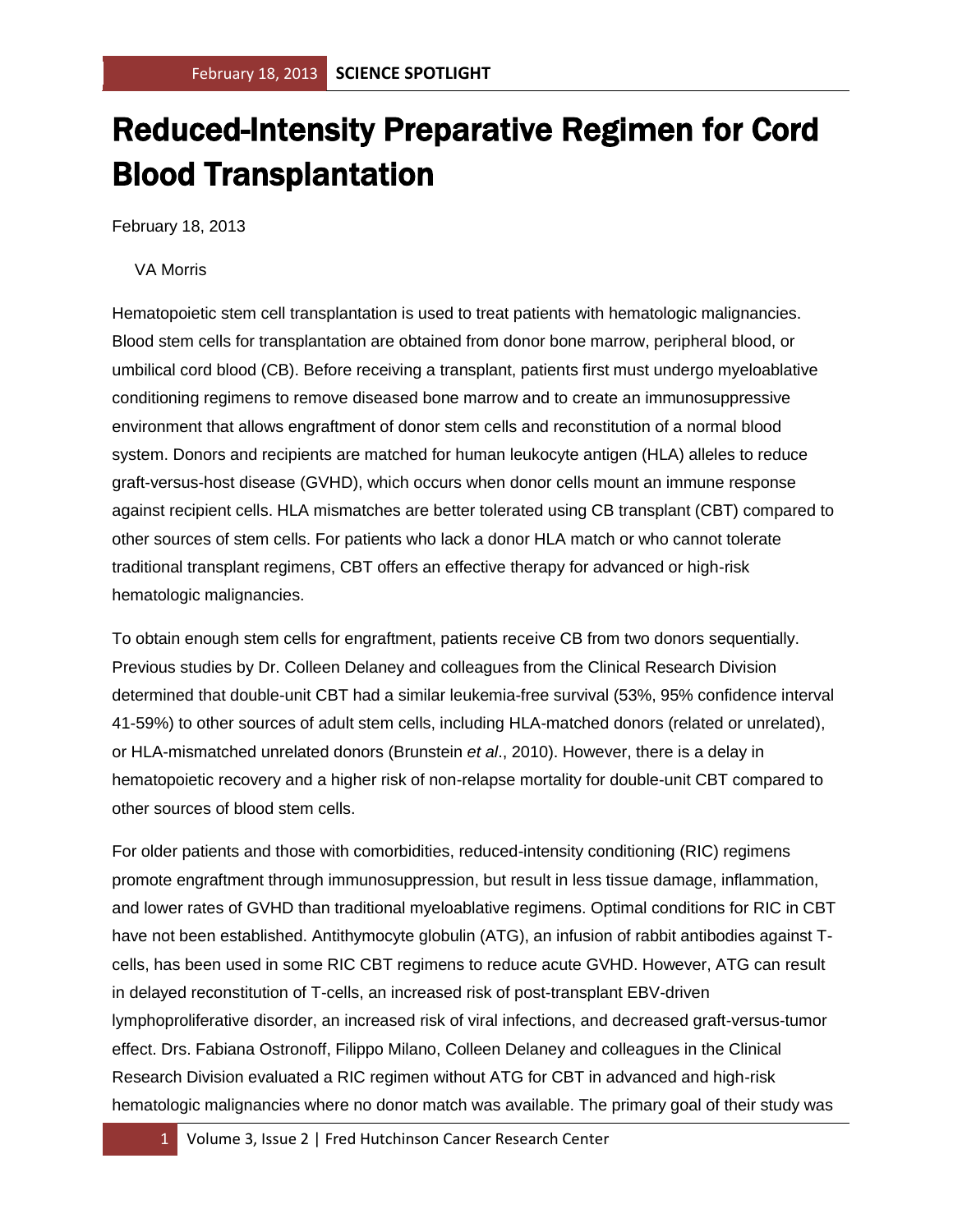## Reduced-Intensity Preparative Regimen for Cord Blood Transplantation

February 18, 2013

VA Morris

Hematopoietic stem cell transplantation is used to treat patients with hematologic malignancies. Blood stem cells for transplantation are obtained from donor bone marrow, peripheral blood, or umbilical cord blood (CB). Before receiving a transplant, patients first must undergo myeloablative conditioning regimens to remove diseased bone marrow and to create an immunosuppressive environment that allows engraftment of donor stem cells and reconstitution of a normal blood system. Donors and recipients are matched for human leukocyte antigen (HLA) alleles to reduce graft-versus-host disease (GVHD), which occurs when donor cells mount an immune response against recipient cells. HLA mismatches are better tolerated using CB transplant (CBT) compared to other sources of stem cells. For patients who lack a donor HLA match or who cannot tolerate traditional transplant regimens, CBT offers an effective therapy for advanced or high-risk hematologic malignancies.

To obtain enough stem cells for engraftment, patients receive CB from two donors sequentially. Previous studies by Dr. Colleen Delaney and colleagues from the Clinical Research Division determined that double-unit CBT had a similar leukemia-free survival (53%, 95% confidence interval 41-59%) to other sources of adult stem cells, including HLA-matched donors (related or unrelated), or HLA-mismatched unrelated donors (Brunstein *et al*., 2010). However, there is a delay in hematopoietic recovery and a higher risk of non-relapse mortality for double-unit CBT compared to other sources of blood stem cells.

For older patients and those with comorbidities, reduced-intensity conditioning (RIC) regimens promote engraftment through immunosuppression, but result in less tissue damage, inflammation, and lower rates of GVHD than traditional myeloablative regimens. Optimal conditions for RIC in CBT have not been established. Antithymocyte globulin (ATG), an infusion of rabbit antibodies against Tcells, has been used in some RIC CBT regimens to reduce acute GVHD. However, ATG can result in delayed reconstitution of T-cells, an increased risk of post-transplant EBV-driven lymphoproliferative disorder, an increased risk of viral infections, and decreased graft-versus-tumor effect. Drs. Fabiana Ostronoff, Filippo Milano, Colleen Delaney and colleagues in the Clinical Research Division evaluated a RIC regimen without ATG for CBT in advanced and high-risk hematologic malignancies where no donor match was available. The primary goal of their study was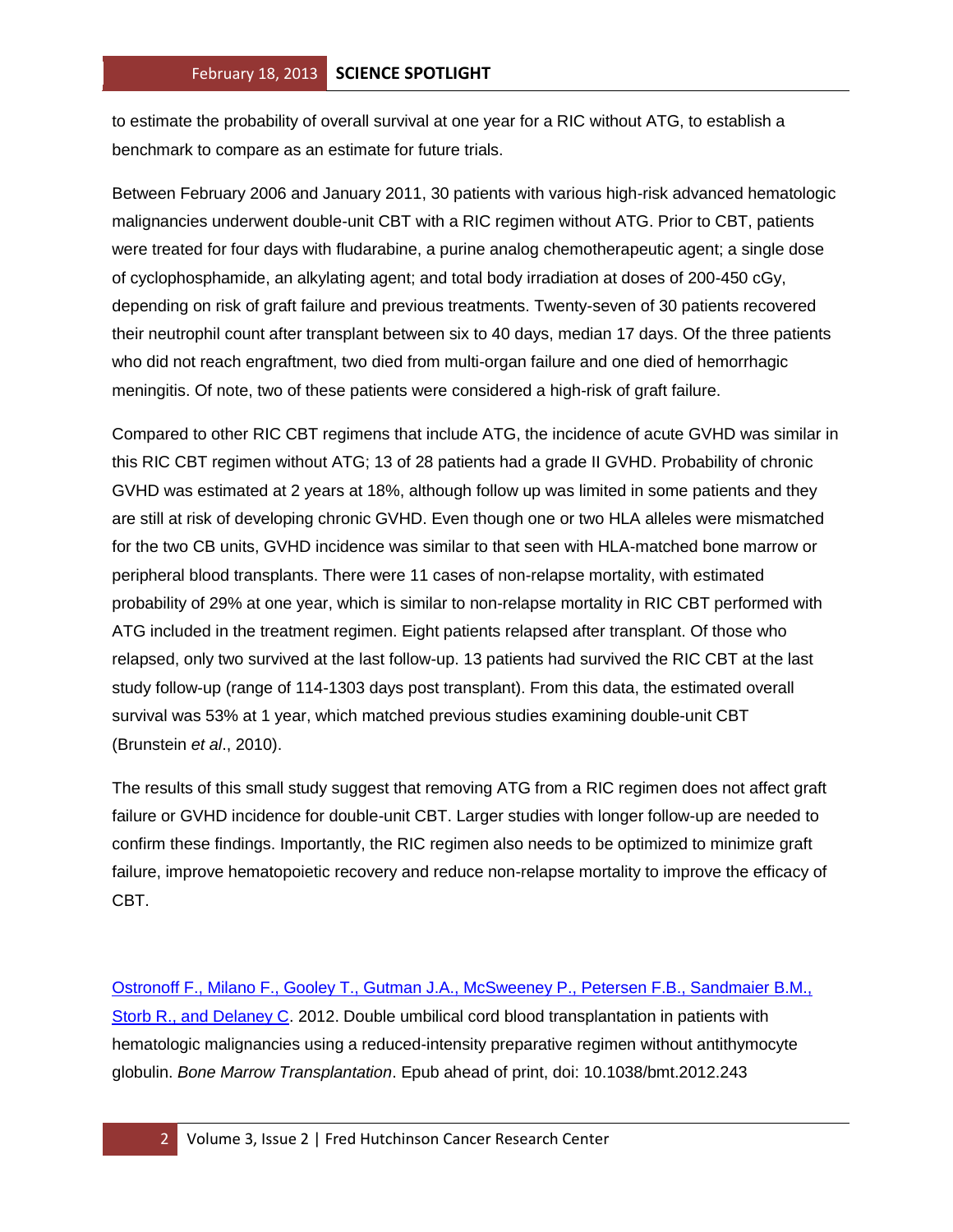to estimate the probability of overall survival at one year for a RIC without ATG, to establish a benchmark to compare as an estimate for future trials.

Between February 2006 and January 2011, 30 patients with various high-risk advanced hematologic malignancies underwent double-unit CBT with a RIC regimen without ATG. Prior to CBT, patients were treated for four days with fludarabine, a purine analog chemotherapeutic agent; a single dose of cyclophosphamide, an alkylating agent; and total body irradiation at doses of 200-450 cGy, depending on risk of graft failure and previous treatments. Twenty-seven of 30 patients recovered their neutrophil count after transplant between six to 40 days, median 17 days. Of the three patients who did not reach engraftment, two died from multi-organ failure and one died of hemorrhagic meningitis. Of note, two of these patients were considered a high-risk of graft failure.

Compared to other RIC CBT regimens that include ATG, the incidence of acute GVHD was similar in this RIC CBT regimen without ATG; 13 of 28 patients had a grade II GVHD. Probability of chronic GVHD was estimated at 2 years at 18%, although follow up was limited in some patients and they are still at risk of developing chronic GVHD. Even though one or two HLA alleles were mismatched for the two CB units, GVHD incidence was similar to that seen with HLA-matched bone marrow or peripheral blood transplants. There were 11 cases of non-relapse mortality, with estimated probability of 29% at one year, which is similar to non-relapse mortality in RIC CBT performed with ATG included in the treatment regimen. Eight patients relapsed after transplant. Of those who relapsed, only two survived at the last follow-up. 13 patients had survived the RIC CBT at the last study follow-up (range of 114-1303 days post transplant). From this data, the estimated overall survival was 53% at 1 year, which matched previous studies examining double-unit CBT (Brunstein *et al*., 2010).

The results of this small study suggest that removing ATG from a RIC regimen does not affect graft failure or GVHD incidence for double-unit CBT. Larger studies with longer follow-up are needed to confirm these findings. Importantly, the RIC regimen also needs to be optimized to minimize graft failure, improve hematopoietic recovery and reduce non-relapse mortality to improve the efficacy of CBT.

[Ostronoff F., Milano F., Gooley T., Gutman J.A., McSweeney P., Petersen F.B., Sandmaier B.M.,](http://www.ncbi.nlm.nih.gov/pubmed/23241738?otool=fhcrclib)  [Storb R., and Delaney C.](http://www.ncbi.nlm.nih.gov/pubmed/23241738?otool=fhcrclib) 2012. Double umbilical cord blood transplantation in patients with hematologic malignancies using a reduced-intensity preparative regimen without antithymocyte globulin. *Bone Marrow Transplantation*. Epub ahead of print, doi: 10.1038/bmt.2012.243